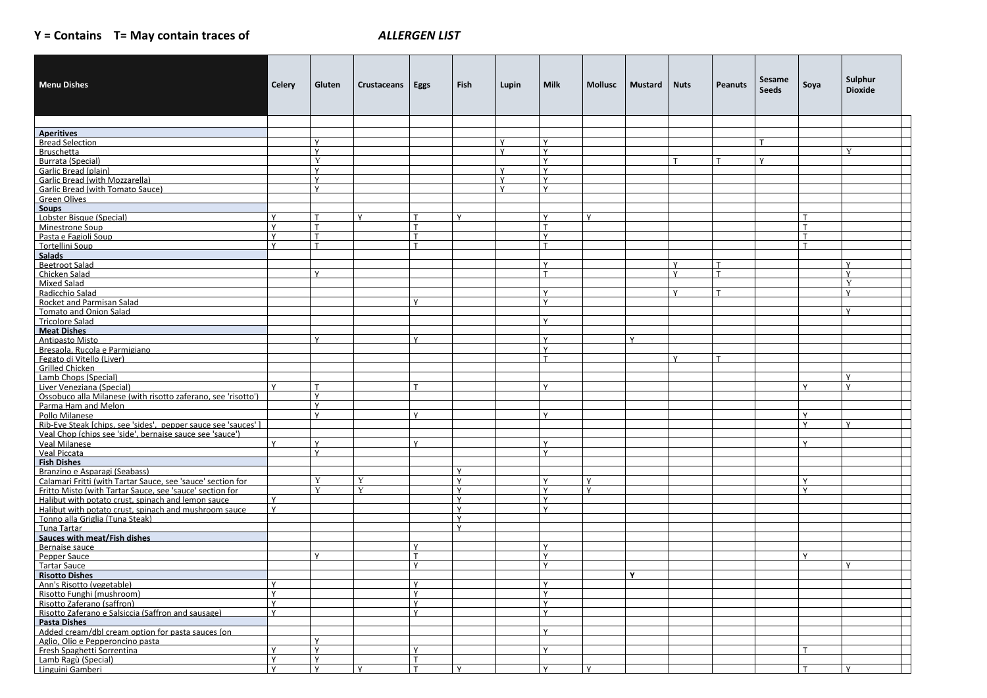## **Y = Contains T= May contain traces of** *ALLERGEN LIST*

|                                                                                                                                       |                             |              |                    |                              |                              |                        |                              |                              |                |              |                | Sesame       |                | Sulphur        |
|---------------------------------------------------------------------------------------------------------------------------------------|-----------------------------|--------------|--------------------|------------------------------|------------------------------|------------------------|------------------------------|------------------------------|----------------|--------------|----------------|--------------|----------------|----------------|
| <b>Menu Dishes</b>                                                                                                                    | Celery                      | Gluten       | <b>Crustaceans</b> | Eggs                         | Fish                         | Lupin                  | <b>Milk</b>                  | Mollusc                      | <b>Mustard</b> | <b>Nuts</b>  | <b>Peanuts</b> | <b>Seeds</b> | Soya           | <b>Dioxide</b> |
|                                                                                                                                       |                             |              |                    |                              |                              |                        |                              |                              |                |              |                |              |                |                |
|                                                                                                                                       |                             |              |                    |                              |                              |                        |                              |                              |                |              |                |              |                |                |
|                                                                                                                                       |                             |              |                    |                              |                              |                        |                              |                              |                |              |                |              |                |                |
| <b>Aperitives</b>                                                                                                                     |                             |              |                    |                              |                              |                        |                              |                              |                |              |                |              |                |                |
| <b>Bread Selection</b>                                                                                                                |                             | v<br>v       |                    |                              |                              | $\vee$<br>$\mathsf{v}$ | $\checkmark$<br>$\mathsf{v}$ |                              |                |              |                |              |                | Y              |
| <b>Bruschetta</b><br><b>Burrata (Special)</b>                                                                                         |                             | Y            |                    |                              |                              |                        | $\mathbf v$                  |                              |                |              |                | $\mathbf{v}$ |                |                |
| <b>Garlic Bread (plain)</b>                                                                                                           |                             | <b>V</b>     |                    |                              |                              | $\mathsf{v}$           | $\checkmark$                 |                              |                |              |                |              |                |                |
| <b>Garlic Bread (with Mozzarella)</b>                                                                                                 |                             | Y            |                    |                              |                              | $\mathsf{v}$           | $\vee$                       |                              |                |              |                |              |                |                |
| <b>Garlic Bread (with Tomato Sauce)</b>                                                                                               |                             | $\mathsf{v}$ |                    |                              |                              | $\vee$                 | $\checkmark$                 |                              |                |              |                |              |                |                |
| <b>Green Olives</b>                                                                                                                   |                             |              |                    |                              |                              |                        |                              |                              |                |              |                |              |                |                |
| <b>Soups</b>                                                                                                                          |                             |              |                    |                              |                              |                        |                              |                              |                |              |                |              |                |                |
| Lobster Bisque (Special)                                                                                                              | Y                           | $\mathbf{T}$ | $\mathsf{v}$       |                              | $\mathsf{v}$                 |                        | $\checkmark$                 | $\mathsf{v}$                 |                |              |                |              |                |                |
| <b>Minestrone Soup</b>                                                                                                                | Y                           | $\mathbf{r}$ |                    |                              |                              |                        |                              |                              |                |              |                |              | $\mathbf \tau$ |                |
| Pasta e Fagioli Soup<br>and Contains and Castro Contains and Containing and Containing and Containing and Containing and Containing a | $\mathsf{v}$                | $\mathbf{T}$ |                    |                              |                              |                        | $\checkmark$                 |                              |                |              |                |              | $\mathbf \tau$ |                |
| Tortellini Soup                                                                                                                       | $\mathsf{v}$                | $\mathbf{T}$ |                    |                              |                              |                        | $\mathbf \tau$               |                              |                |              |                |              | $\mathbf \tau$ |                |
| Salads                                                                                                                                |                             |              |                    |                              |                              |                        | $\mathbf v$                  |                              |                | $\mathbf{v}$ |                |              |                | $\mathbf{v}$   |
| <b>Beetroot Salad</b><br>Chicken Salad                                                                                                |                             | $\mathsf{v}$ |                    |                              |                              |                        |                              |                              |                |              | $\mathbf \tau$ |              |                | $\mathbf{v}$   |
| <b>Mixed Salad</b>                                                                                                                    |                             |              |                    |                              |                              |                        |                              |                              |                |              |                |              |                | Y              |
| Radicchio Salad                                                                                                                       |                             |              |                    |                              |                              |                        | $\vee$                       |                              |                | $\mathbf v$  | $\mathbf \tau$ |              |                | $\mathbf{v}$   |
| Rocket and Parmisan Salad                                                                                                             |                             |              |                    | $\mathbf v$                  |                              |                        | $\mathsf{v}$                 |                              |                |              |                |              |                |                |
| <b>Tomato and Onion Salad</b>                                                                                                         |                             |              |                    |                              |                              |                        |                              |                              |                |              |                |              |                | $\mathsf{v}$   |
| <b>Tricolore Salad</b>                                                                                                                |                             |              |                    |                              |                              |                        | v                            |                              |                |              |                |              |                |                |
| <b>Meat Dishes</b>                                                                                                                    |                             |              |                    |                              |                              |                        |                              |                              |                |              |                |              |                |                |
| <b>Antipasto Misto</b>                                                                                                                |                             | $\vee$       |                    | $\mathbf{v}$                 |                              |                        | $\mathbf v$                  |                              | $\mathbf v$    |              |                |              |                |                |
| Bresaola, Rucola e Parmigiano                                                                                                         |                             |              |                    |                              |                              |                        | $\mathbf v$                  |                              |                |              |                |              |                |                |
| Fegato di Vitello (Liver)                                                                                                             |                             |              |                    |                              |                              |                        |                              |                              |                |              |                |              |                |                |
| <b>Grilled Chicken</b>                                                                                                                |                             |              |                    |                              |                              |                        |                              |                              |                |              |                |              |                | $\mathbf{v}$   |
| Lamb Chops (Special)                                                                                                                  | $\mathbf v$                 | T            |                    |                              |                              |                        | $\checkmark$                 |                              |                |              |                |              | $\checkmark$   | $\mathsf{v}$   |
| Liver Veneziana (Special)<br>Ossobuco alla Milanese (with risotto zaferano, see 'risotto')                                            |                             | Y            |                    |                              |                              |                        |                              |                              |                |              |                |              |                |                |
| Parma Ham and Melon                                                                                                                   |                             | $\mathsf{v}$ |                    |                              |                              |                        |                              |                              |                |              |                |              |                |                |
| Pollo Milanese                                                                                                                        |                             | $\mathsf{v}$ |                    | $\checkmark$                 |                              |                        | v                            |                              |                |              |                |              | v              |                |
| Rib-Eye Steak [chips, see 'sides', pepper sauce see 'sauces' ]                                                                        |                             |              |                    |                              |                              |                        |                              |                              |                |              |                |              | Y              | Y              |
| Veal Chop (chips see 'side', bernaise sauce see 'sauce')                                                                              |                             |              |                    |                              |                              |                        |                              |                              |                |              |                |              |                |                |
| Veal Milanese                                                                                                                         |                             | $\vee$       |                    |                              |                              |                        |                              |                              |                |              |                |              |                |                |
| Veal Piccata                                                                                                                          |                             | $\mathsf{v}$ |                    |                              |                              |                        | $\checkmark$                 |                              |                |              |                |              |                |                |
| <b>Fish Dishes</b>                                                                                                                    |                             |              |                    |                              |                              |                        |                              |                              |                |              |                |              |                |                |
| Branzino e Asparagi (Seabass)                                                                                                         |                             |              |                    |                              | $\mathsf{v}$                 |                        |                              |                              |                |              |                |              |                |                |
| Calamari Fritti (with Tartar Sauce, see 'sauce' section for                                                                           |                             | Y<br>Y       | Y<br>Y             |                              | $\checkmark$                 |                        |                              | $\mathsf{v}$<br>$\mathsf{v}$ |                |              |                |              | $\checkmark$   |                |
| Fritto Misto (with Tartar Sauce, see 'sauce' section for                                                                              | Y                           |              |                    |                              | $\mathsf{v}$<br>$\mathsf{v}$ |                        |                              |                              |                |              |                |              |                |                |
| Halibut with potato crust, spinach and lemon sauce<br>Halibut with potato crust, spinach and mushroom sauce                           | $\mathsf{Y}$                |              |                    |                              | $\vee$                       |                        |                              |                              |                |              |                |              |                |                |
| Tonno alla Griglia (Tuna Steak)                                                                                                       |                             |              |                    |                              | $\vee$                       |                        |                              |                              |                |              |                |              |                |                |
| Tuna Tartar                                                                                                                           |                             |              |                    |                              | $\vee$                       |                        |                              |                              |                |              |                |              |                |                |
| Sauces with meat/Fish dishes                                                                                                          |                             |              |                    |                              |                              |                        |                              |                              |                |              |                |              |                |                |
| Bernaise sauce                                                                                                                        |                             |              |                    |                              |                              |                        |                              |                              |                |              |                |              |                |                |
| Pepper Sauce                                                                                                                          |                             | v.           |                    |                              |                              |                        | $\mathbf v$                  |                              |                |              |                |              | $\checkmark$   |                |
| <b>Tartar Sauce</b>                                                                                                                   |                             |              |                    | $\mathbf v$                  |                              |                        | $\checkmark$                 |                              |                |              |                |              |                | $\mathsf{v}$   |
| <b>Risotto Dishes</b>                                                                                                                 |                             |              |                    |                              |                              |                        |                              |                              |                |              |                |              |                |                |
| Ann's Risotto (vegetable)                                                                                                             |                             |              |                    |                              |                              |                        |                              |                              |                |              |                |              |                |                |
| Risotto Funghi (mushroom)                                                                                                             | Y                           |              |                    | $\mathbf{v}$<br>$\mathbf{v}$ |                              |                        | $\checkmark$                 |                              |                |              |                |              |                |                |
| Risotto Zaferano (saffron)                                                                                                            | $\mathsf{v}$<br>$\mathbf v$ |              |                    | $\mathbf{v}$                 |                              |                        | $\mathbf v$<br>$\checkmark$  |                              |                |              |                |              |                |                |
| Risotto Zaferano e Salsiccia (Saffron and sausage)<br><b>Pasta Dishes</b>                                                             |                             |              |                    |                              |                              |                        |                              |                              |                |              |                |              |                |                |
| Added cream/dbl cream option for pasta sauces (on                                                                                     |                             |              |                    |                              |                              |                        |                              |                              |                |              |                |              |                |                |
| Aglio. Olio e Pepperoncino pasta                                                                                                      |                             | $\mathsf{v}$ |                    |                              |                              |                        |                              |                              |                |              |                |              |                |                |
| Fresh Spaghetti Sorrentina                                                                                                            | $\mathsf{v}$                | $\mathsf{v}$ |                    | $\checkmark$                 |                              |                        | $\checkmark$                 |                              |                |              |                |              |                |                |
| Lamb Ragù (Special)                                                                                                                   | Y                           | Y            |                    |                              |                              |                        |                              |                              |                |              |                |              |                |                |
| Linguini Gamberi                                                                                                                      | $\mathbf v$                 | $\mathbf v$  | $\mathbf{v}$       | $\mathbf \tau$               | $\mathsf{v}$                 |                        |                              | $\mathsf{v}$                 |                |              |                |              |                | $\mathbf{v}$   |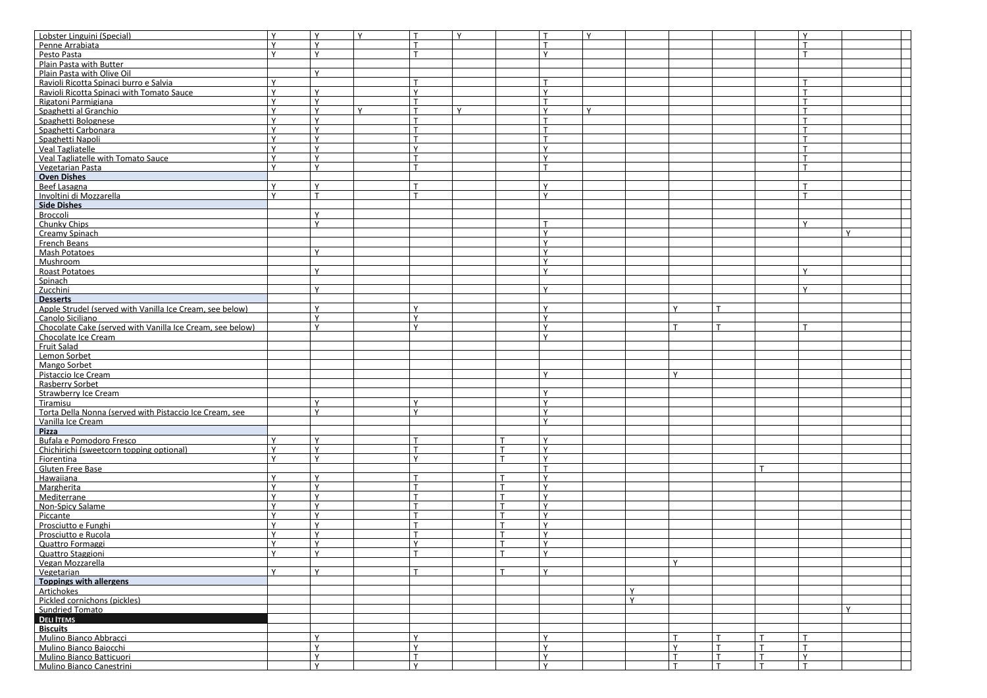| Lobster Linguini (Special)                                | $\vee$       | $\mathbf v$<br>$\checkmark$ | $\mathsf{T}$    | Y |              | $\checkmark$ |                 |                      |                 |              |
|-----------------------------------------------------------|--------------|-----------------------------|-----------------|---|--------------|--------------|-----------------|----------------------|-----------------|--------------|
|                                                           |              |                             |                 |   |              |              |                 |                      |                 |              |
| Penne Arrabiata                                           | $\mathsf{v}$ | $\vee$                      | $\mathsf{T}$    |   |              |              |                 |                      |                 |              |
| Pesto Pasta                                               | $\mathbf v$  | $\mathsf{v}$                | $\mathbf{\tau}$ |   | $\mathbf{v}$ |              |                 |                      | $\mathbf \tau$  |              |
| Plain Pasta with Butter                                   |              |                             |                 |   |              |              |                 |                      |                 |              |
|                                                           |              | $\mathbf v$                 |                 |   |              |              |                 |                      |                 |              |
| Plain Pasta with Olive Oil                                |              |                             |                 |   |              |              |                 |                      |                 |              |
| Ravioli Ricotta Spinaci burro e Salvia                    | $\mathsf{v}$ |                             | $\mathbf \tau$  |   |              |              |                 |                      |                 |              |
| Ravioli Ricotta Spinaci with Tomato Sauce                 | $\mathsf{v}$ | $\mathbf v$                 | Y               |   |              |              |                 |                      |                 |              |
| Rigatoni Parmigiana                                       | $\mathsf{v}$ | $\mathbf v$                 | $\mathbf{\tau}$ |   |              |              |                 |                      |                 |              |
|                                                           | <b>V</b>     | $\mathbf{v}$                |                 |   |              | $\checkmark$ |                 |                      |                 |              |
| Spaghetti al Granchio                                     |              | $\mathsf{v}$                | T               | Y |              |              |                 |                      |                 |              |
| Spaghetti Bolognese                                       | $\mathsf{v}$ | $\mathbf v$                 | $\mathbf{\tau}$ |   |              |              |                 |                      |                 |              |
| Spaghetti Carbonara                                       | <b>V</b>     | $\mathbf v$                 | $\mathbf{\tau}$ |   |              |              |                 |                      |                 |              |
| Spaghetti Napoli                                          | $\mathsf{v}$ | $\mathbf{v}$                | $\mathbf{T}$    |   |              |              |                 |                      |                 |              |
|                                                           | $\mathsf{Y}$ | $\mathbf v$                 | Y               |   | $\mathbf v$  |              |                 |                      |                 |              |
| Veal Tagliatelle                                          |              |                             |                 |   |              |              |                 |                      |                 |              |
| Veal Tagliatelle with Tomato Sauce                        | $\mathsf{v}$ | $\mathbf v$                 | $\mathbf{T}$    |   |              |              |                 |                      |                 |              |
| Vegetarian Pasta                                          | $\mathsf{v}$ | $\mathbf v$                 | $\mathbf{\tau}$ |   |              |              |                 |                      |                 |              |
| <b>Oven Dishes</b>                                        |              |                             |                 |   |              |              |                 |                      |                 |              |
|                                                           | $\mathbf v$  | $\mathbf v$                 |                 |   |              |              |                 |                      |                 |              |
| Beef Lasagna                                              |              |                             |                 |   |              |              |                 |                      |                 |              |
| Involtini di Mozzarella                                   | $\mathbf v$  | $\mathbf{\tau}$             | $\mathbf{\tau}$ |   | $\mathbf{v}$ |              |                 |                      |                 |              |
| Side Dishes                                               |              |                             |                 |   |              |              |                 |                      |                 |              |
| Broccoli                                                  |              | $\mathbf{v}$                |                 |   |              |              |                 |                      |                 |              |
|                                                           |              | $\mathbf v$                 |                 |   |              |              |                 |                      | $\mathsf{v}$    |              |
| Chunky Chips                                              |              |                             |                 |   |              |              |                 |                      |                 |              |
| Creamy Spinach                                            |              |                             |                 |   | $\mathbf{v}$ |              |                 |                      |                 | $\mathsf{v}$ |
| French Beans                                              |              |                             |                 |   | $\mathbf v$  |              |                 |                      |                 |              |
| <b>Mash Potatoes</b>                                      |              | $\mathbf v$                 |                 |   | $\mathbf{v}$ |              |                 |                      |                 |              |
|                                                           |              |                             |                 |   | $\mathbf{v}$ |              |                 |                      |                 |              |
| Mushroom                                                  |              |                             |                 |   |              |              |                 |                      |                 |              |
| <b>Roast Potatoes</b>                                     |              | $\mathbf v$                 |                 |   | $\mathbf{v}$ |              |                 |                      |                 |              |
| Spinach                                                   |              |                             |                 |   |              |              |                 |                      |                 |              |
| Zucchini                                                  |              | $\mathbf{v}$                |                 |   |              |              |                 |                      |                 |              |
| <b>Desserts</b>                                           |              |                             |                 |   |              |              |                 |                      |                 |              |
|                                                           |              | $\checkmark$                |                 |   | $\mathbf{v}$ |              | $\mathbf{v}$    |                      |                 |              |
| Apple Strudel (served with Vanilla Ice Cream, see below)  |              |                             | Y               |   |              |              |                 | T                    |                 |              |
| Canolo Siciliano                                          |              | $\mathbf v$                 | Y               |   | $\mathbf{v}$ |              |                 |                      |                 |              |
| Chocolate Cake (served with Vanilla Ice Cream. see below) |              | $\mathbf v$                 | $\mathsf{v}$    |   | $\mathbf v$  |              |                 | T                    | $\mathbf \tau$  |              |
| Chocolate Ice Cream                                       |              |                             |                 |   | $\mathbf{v}$ |              |                 |                      |                 |              |
|                                                           |              |                             |                 |   |              |              |                 |                      |                 |              |
| <b>Fruit Salad</b>                                        |              |                             |                 |   |              |              |                 |                      |                 |              |
| Lemon Sorbet                                              |              |                             |                 |   |              |              |                 |                      |                 |              |
| Mango Sorbet                                              |              |                             |                 |   |              |              |                 |                      |                 |              |
| Pistaccio Ice Cream                                       |              |                             |                 |   | $\mathbf{v}$ |              | $\mathbf{v}$    |                      |                 |              |
|                                                           |              |                             |                 |   |              |              |                 |                      |                 |              |
| Rasberry Sorbet                                           |              |                             |                 |   |              |              |                 |                      |                 |              |
| Strawberry Ice Cream                                      |              |                             |                 |   | $\mathbf v$  |              |                 |                      |                 |              |
| Tiramisu                                                  |              | v                           | Y               |   |              |              |                 |                      |                 |              |
| Torta Della Nonna (served with Pistaccio Ice Cream, see   |              | $\mathbf v$                 | $\mathsf{Y}$    |   | $\mathbf v$  |              |                 |                      |                 |              |
|                                                           |              |                             |                 |   |              |              |                 |                      |                 |              |
| Vanilla Ice Cream                                         |              |                             |                 |   |              |              |                 |                      |                 |              |
| Pizza                                                     |              |                             |                 |   |              |              |                 |                      |                 |              |
| Bufala e Pomodoro Fresco                                  | v            | $\checkmark$                |                 |   |              |              |                 |                      |                 |              |
| Chichirichi (sweetcorn topping optional)                  | $\mathsf{v}$ | $\mathbf v$                 | T               |   | $\mathbf{v}$ |              |                 |                      |                 |              |
|                                                           | $\mathsf{v}$ | $\mathsf{v}$                | Y               |   |              |              |                 |                      |                 |              |
| Fiorentina                                                |              |                             |                 |   |              |              |                 |                      |                 |              |
| Gluten Free Base                                          |              |                             |                 |   |              |              |                 |                      |                 |              |
| Hawaiiana                                                 | $\mathsf{v}$ | $\mathsf{v}$                |                 |   |              |              |                 |                      |                 |              |
| Margherita                                                | $\vee$       | $\mathbf v$                 | $\mathbf{\tau}$ |   | $\mathbf{v}$ |              |                 |                      |                 |              |
| Mediterrane                                               | $\mathsf{v}$ | $\mathsf{v}$                | T               |   | $\mathbf{v}$ |              |                 |                      |                 |              |
|                                                           |              |                             |                 |   |              |              |                 |                      |                 |              |
| Non-Spicy Salame                                          | v            | $\mathbf v$                 | T               |   |              |              |                 |                      |                 |              |
| Piccante                                                  | $\mathsf{v}$ | $\mathbf v$                 | $\mathbf{T}$    |   |              |              |                 |                      |                 |              |
| Prosciutto e Funghi                                       | Y            | $\mathbf v$                 | $\mathsf{T}$    |   |              |              |                 |                      |                 |              |
| Prosciutto e Rucola                                       | $\vee$       | $\mathbf{v}$                | $\mathbf{T}$    |   |              |              |                 |                      |                 |              |
|                                                           | $\mathsf{v}$ | $\mathbf{v}$                | $\mathsf{v}$    |   | $\mathbf{v}$ |              |                 |                      |                 |              |
| Quattro Formaggi                                          |              |                             |                 |   |              |              |                 |                      |                 |              |
| Quattro Staggioni                                         | $\mathsf{v}$ | $\mathsf{v}$                | $\mathbf{\tau}$ |   | $\mathbf{v}$ |              |                 |                      |                 |              |
| Vegan Mozzarella                                          |              |                             |                 |   |              |              |                 |                      |                 |              |
| Vegetarian                                                | $\mathsf{v}$ | $\vee$                      | $\mathbf \tau$  |   | $\checkmark$ |              |                 |                      |                 |              |
|                                                           |              |                             |                 |   |              |              |                 |                      |                 |              |
| <b>Toppings with allergens</b>                            |              |                             |                 |   |              |              |                 |                      |                 |              |
| Artichokes                                                |              |                             |                 |   |              |              |                 |                      |                 |              |
| Pickled cornichons (pickles)                              |              |                             |                 |   |              |              |                 |                      |                 |              |
| <b>Sundried Tomato</b>                                    |              |                             |                 |   |              |              |                 |                      |                 | $\checkmark$ |
|                                                           |              |                             |                 |   |              |              |                 |                      |                 |              |
| <b>DELI ITEMS</b>                                         |              |                             |                 |   |              |              |                 |                      |                 |              |
| <b>Biscuits</b>                                           |              |                             |                 |   |              |              |                 |                      |                 |              |
| Mulino Bianco Abbracci                                    |              | $\mathsf{v}$                | $\mathsf{v}$    |   |              |              |                 | $\mathbf{T}$         |                 |              |
| Mulino Bianco Baiocchi                                    |              | $\mathbf v$                 | $\mathsf{v}$    |   | $\mathbf{v}$ |              | $\mathbf{v}$    | T<br>$\mathbf{\tau}$ |                 |              |
|                                                           |              | $\checkmark$                | T               |   | $\mathbf v$  |              |                 | T                    | $\vee$          |              |
| Mulino Bianco Batticuori                                  |              |                             |                 |   |              |              |                 |                      |                 |              |
| Mulino Bianco Canestrini                                  |              | $\mathsf{v}$                | Y               |   | $\mathbf v$  |              | $\mathbf{\tau}$ | T<br>$\mathbf{r}$    | $\mathbf{\tau}$ |              |